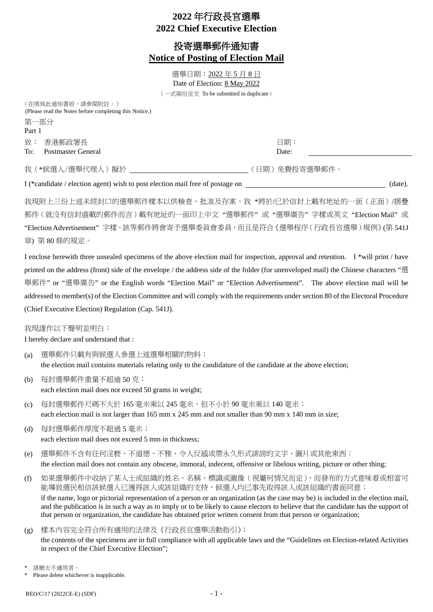# **2022** 年行政長官選舉 **2022 Chief Executive Election**

## 投寄選舉郵件通知書 **Notice of Posting of Election Mail**

選舉日期:2022 年 5 月 8 日 Date of Election: 8 May 2022 (一式兩份呈交 To be submitted in duplicate)

> 日期: Date:

(在填寫此通知書前,請參閱附註。) (Please read the Notes before completing this Notice.) 第一部分 Part 1 致: 香港郵政署長 To: Postmaster General

我(\*候選人/選舉代理人)擬於 (1899年) 1999年 - 1999年 - 1999年 (日期)免費投寄選舉郵件。

I (\*candidate / election agent) wish to post election mail free of postage on (date).

我現附上三份上述未經封口的選舉郵件樣本以供檢查、批准及存案。我 \*將於/已於信封上載有地址的一面(正面)/摺疊 郵件(就沒有信封盛載的郵件而言)載有地址的一面印上中文 "選舉郵件" 或 "選舉廣告" 字樣或英文 "Election Mail" 或 "Election Advertisement" 字樣。該等郵件將會寄予選舉委員會委員,而且是符合《選舉程序(行政長官選舉)規例》(第 541J 章) 第 80 條的規定。

I enclose herewith three unsealed specimens of the above election mail for inspection, approval and retention. I \*will print / have printed on the address (front) side of the envelope / the address side of the folder (for unenveloped mail) the Chinese characters "選 舉郵件" or "選舉廣告" or the English words "Election Mail" or "Election Advertisement". The above election mail will be addressed to member(s) of the Election Committee and will comply with the requirements under section 80 of the Electoral Procedure (Chief Executive Election) Regulation (Cap. 541J).

我現謹作以下聲明並明白:

I hereby declare and understand that :

- (a) 選舉郵件只載有與候選人參選上述選舉相關的物料; the election mail contains materials relating only to the candidature of the candidate at the above election;
- (b) 每封選舉郵件重量不超逾 50 克; each election mail does not exceed 50 grams in weight;
- (c) 每封選舉郵件尺碼不大於 165 毫米乘以 245 毫米,但不小於 90 毫米乘以 140 毫米; each election mail is not larger than 165 mm x 245 mm and not smaller than 90 mm x 140 mm in size;
- (d) 每封選舉郵件厚度不超過 5 毫米; each election mail does not exceed 5 mm in thickness;
- (e) 選舉郵件不含有任何淫褻、不道德、不雅、令人反感或帶永久形式誹謗的文字、圖片或其他東西; the election mail does not contain any obscene, immoral, indecent, offensive or libelous writing, picture or other thing;
- (f) 如果選舉郵件中收納了某人士或組織的姓名、名稱、標識或圖像(視屬何情況而定),而發布的方式意味着或相當可 能導致選民相信該候選人已獲得該人或該組織的支持,候選人均已事先取得該人或該組織的書面同意; if the name, logo or pictorial representation of a person or an organization (as the case may be) is included in the election mail, and the publication is in such a way as to imply or to be likely to cause electors to believe that the candidate has the support of that person or organization, the candidate has obtained prior written consent from that person or organization;
- (g) 樣本內容完全符合所有適用的法律及《行政長官選舉活動指引》;

the contents of the specimens are in full compliance with all applicable laws and the "Guidelines on Election-related Activities in respect of the Chief Executive Election";

請刪去不適用者。

Please delete whichever is inapplicable.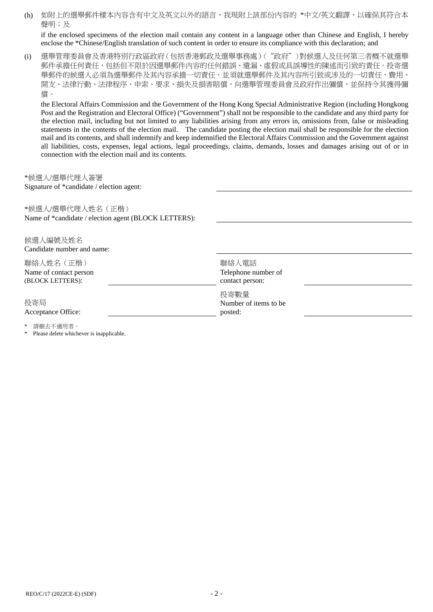(h) 如附上的選舉郵件樣本內容含有中文及英文以外的語言,我現附上該部份內容的 \*中文/英文翻譯,以確保其符合本 聲明;及

if the enclosed specimens of the election mail contain any content in a language other than Chinese and English, I hereby enclose the \*Chinese/English translation of such content in order to ensure its compliance with this declaration; and

(i) 選舉管理委員會及香港特別行政區政府(包括香港郵政及選舉事務處)("政府")對候選人及任何第三者概不就選舉 郵件承擔任何責任,包括但不限於因選舉郵件內容的任何錯誤、遺漏、虛假或具誤導性的陳述而引致的責任。投寄選 舉郵件的候選人必須為選舉郵件及其內容承擔一切責任,並須就選舉郵件及其內容所引致或涉及的一切責任、費用、 開支、法律行動、法律程序、申索、要求、損失及損害賠償,向選舉管理委員會及政府作出彌償,並保持令其獲得彌 償。

the Electoral Affairs Commission and the Government of the Hong Kong Special Administrative Region (including Hongkong Post and the Registration and Electoral Office) ("Government") shall not be responsible to the candidate and any third party for the election mail, including but not limited to any liabilities arising from any errors in, omissions from, false or misleading statements in the contents of the election mail. The candidate posting the election mail shall be responsible for the election mail and its contents, and shall indemnify and keep indemnified the Electoral Affairs Commission and the Government against all liabilities, costs, expenses, legal actions, legal proceedings, claims, demands, losses and damages arising out of or in connection with the election mail and its contents.

\*候選人/選舉代理人簽署 Signature of \*candidate / election agent:

\*候選人/選舉代理人姓名(正楷) Name of \*candidate / election agent (BLOCK LETTERS):

候選人編號及姓名 Candidate number and name: 聯絡人姓名(正楷) Name of contact person (BLOCK LETTERS): 聯絡人電話 Telephone number of contact person: 投寄局 Acceptance Office: 投寄數量 Number of items to be posted: 請刪去不適用者。

Please delete whichever is inapplicable.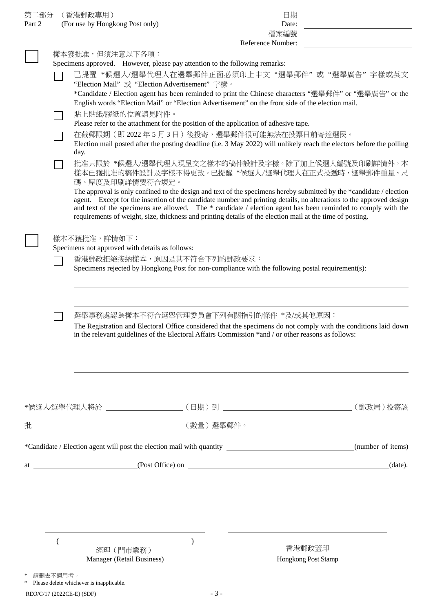| 第二部分   |                                                                                                                                                           | (香港郵政專用)                                                                                                                                                                                                                            |       | 日期                                                                                                        |         |  |
|--------|-----------------------------------------------------------------------------------------------------------------------------------------------------------|-------------------------------------------------------------------------------------------------------------------------------------------------------------------------------------------------------------------------------------|-------|-----------------------------------------------------------------------------------------------------------|---------|--|
| Part 2 |                                                                                                                                                           | (For use by Hongkong Post only)                                                                                                                                                                                                     |       | Date:                                                                                                     |         |  |
|        |                                                                                                                                                           | 檔案編號<br>Reference Number:                                                                                                                                                                                                           |       |                                                                                                           |         |  |
|        |                                                                                                                                                           | 樣本獲批准,但須注意以下各項:                                                                                                                                                                                                                     |       |                                                                                                           |         |  |
|        |                                                                                                                                                           | Specimens approved. However, please pay attention to the following remarks:                                                                                                                                                         |       |                                                                                                           |         |  |
|        |                                                                                                                                                           | 已提醒 *候選人/選舉代理人在選舉郵件正面必須印上中文"選舉郵件"或"選舉廣告"字樣或英文                                                                                                                                                                                       |       |                                                                                                           |         |  |
|        |                                                                                                                                                           | "Election Mail" 或 "Election Advertisement" 字樣。                                                                                                                                                                                      |       |                                                                                                           |         |  |
|        |                                                                                                                                                           |                                                                                                                                                                                                                                     |       | *Candidate / Election agent has been reminded to print the Chinese characters "選舉郵件" or "選舉廣告" or the     |         |  |
|        |                                                                                                                                                           | English words "Election Mail" or "Election Advertisement" on the front side of the election mail.                                                                                                                                   |       |                                                                                                           |         |  |
|        |                                                                                                                                                           | 貼上貼紙/膠紙的位置請見附件。<br>Please refer to the attachment for the position of the application of adhesive tape.                                                                                                                             |       |                                                                                                           |         |  |
|        |                                                                                                                                                           | 在截郵限期(即2022年5月3日)後投寄,選舉郵件很可能無法在投票日前寄達選民。                                                                                                                                                                                            |       |                                                                                                           |         |  |
|        |                                                                                                                                                           | Election mail posted after the posting deadline (i.e. 3 May 2022) will unlikely reach the electors before the polling                                                                                                               |       |                                                                                                           |         |  |
|        |                                                                                                                                                           | day.                                                                                                                                                                                                                                |       |                                                                                                           |         |  |
|        |                                                                                                                                                           | 批准只限於 *候選人/選舉代理人現呈交之樣本的稿件設計及字樣。除了加上候選人編號及印刷詳情外,本                                                                                                                                                                                    |       |                                                                                                           |         |  |
|        |                                                                                                                                                           | 樣本已獲批准的稿件設計及字樣不得更改。已提醒 *候選人/選舉代理人在正式投遞時,選舉郵件重量、尺<br>碼、厚度及印刷詳情要符合規定。                                                                                                                                                                 |       |                                                                                                           |         |  |
|        |                                                                                                                                                           | The approval is only confined to the design and text of the specimens hereby submitted by the *candidate / election                                                                                                                 |       |                                                                                                           |         |  |
|        |                                                                                                                                                           | agent. Except for the insertion of the candidate number and printing details, no alterations to the approved design<br>and text of the specimens are allowed. The * candidate / election agent has been reminded to comply with the |       |                                                                                                           |         |  |
|        |                                                                                                                                                           |                                                                                                                                                                                                                                     |       | requirements of weight, size, thickness and printing details of the election mail at the time of posting. |         |  |
|        |                                                                                                                                                           |                                                                                                                                                                                                                                     |       |                                                                                                           |         |  |
|        | 樣本不獲批准,詳情如下:                                                                                                                                              |                                                                                                                                                                                                                                     |       |                                                                                                           |         |  |
|        |                                                                                                                                                           | Specimens not approved with details as follows:                                                                                                                                                                                     |       |                                                                                                           |         |  |
|        |                                                                                                                                                           | 香港郵政拒絕接納樣本,原因是其不符合下列的郵政要求:                                                                                                                                                                                                          |       |                                                                                                           |         |  |
|        |                                                                                                                                                           | Specimens rejected by Hongkong Post for non-compliance with the following postal requirement(s):                                                                                                                                    |       |                                                                                                           |         |  |
|        |                                                                                                                                                           |                                                                                                                                                                                                                                     |       |                                                                                                           |         |  |
|        |                                                                                                                                                           |                                                                                                                                                                                                                                     |       |                                                                                                           |         |  |
|        |                                                                                                                                                           |                                                                                                                                                                                                                                     |       |                                                                                                           |         |  |
|        | 選舉事務處認為樣本不符合選舉管理委員會下列有關指引的條件 *及/或其他原因:<br>The Registration and Electoral Office considered that the specimens do not comply with the conditions laid down |                                                                                                                                                                                                                                     |       |                                                                                                           |         |  |
|        |                                                                                                                                                           | in the relevant guidelines of the Electoral Affairs Commission *and / or other reasons as follows:                                                                                                                                  |       |                                                                                                           |         |  |
|        |                                                                                                                                                           |                                                                                                                                                                                                                                     |       |                                                                                                           |         |  |
|        |                                                                                                                                                           |                                                                                                                                                                                                                                     |       |                                                                                                           |         |  |
|        |                                                                                                                                                           |                                                                                                                                                                                                                                     |       |                                                                                                           |         |  |
|        |                                                                                                                                                           |                                                                                                                                                                                                                                     |       |                                                                                                           |         |  |
|        |                                                                                                                                                           |                                                                                                                                                                                                                                     |       |                                                                                                           |         |  |
|        |                                                                                                                                                           |                                                                                                                                                                                                                                     |       |                                                                                                           |         |  |
|        |                                                                                                                                                           |                                                                                                                                                                                                                                     |       |                                                                                                           |         |  |
|        |                                                                                                                                                           |                                                                                                                                                                                                                                     |       |                                                                                                           |         |  |
|        |                                                                                                                                                           |                                                                                                                                                                                                                                     |       |                                                                                                           |         |  |
|        |                                                                                                                                                           |                                                                                                                                                                                                                                     |       |                                                                                                           |         |  |
|        |                                                                                                                                                           |                                                                                                                                                                                                                                     |       |                                                                                                           | (date). |  |
|        |                                                                                                                                                           |                                                                                                                                                                                                                                     |       |                                                                                                           |         |  |
|        |                                                                                                                                                           |                                                                                                                                                                                                                                     |       |                                                                                                           |         |  |
|        |                                                                                                                                                           |                                                                                                                                                                                                                                     |       |                                                                                                           |         |  |
|        |                                                                                                                                                           |                                                                                                                                                                                                                                     |       |                                                                                                           |         |  |
|        |                                                                                                                                                           |                                                                                                                                                                                                                                     |       |                                                                                                           |         |  |
|        |                                                                                                                                                           |                                                                                                                                                                                                                                     |       |                                                                                                           |         |  |
|        |                                                                                                                                                           | 經理 (門市業務)                                                                                                                                                                                                                           |       | 香港郵政蓋印                                                                                                    |         |  |
|        |                                                                                                                                                           | Manager (Retail Business)                                                                                                                                                                                                           |       | Hongkong Post Stamp                                                                                       |         |  |
|        |                                                                                                                                                           |                                                                                                                                                                                                                                     |       |                                                                                                           |         |  |
|        | 請刪去不適用者。                                                                                                                                                  | Please delete whichever is inapplicable.                                                                                                                                                                                            |       |                                                                                                           |         |  |
|        |                                                                                                                                                           | REO/C/17 (2022CE-E) (SDF)                                                                                                                                                                                                           | $-3-$ |                                                                                                           |         |  |